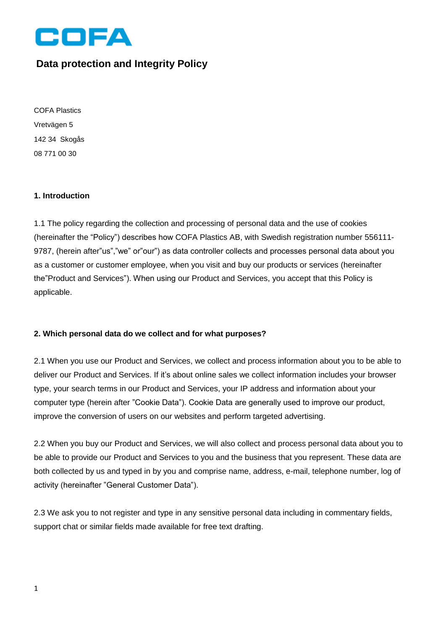

# **Data protection and Integrity Policy**

COFA Plastics Vretvägen 5 142 34 Skogås 08 771 00 30

# **1. Introduction**

1.1 The policy regarding the collection and processing of personal data and the use of cookies (hereinafter the "Policy") describes how COFA Plastics AB, with Swedish registration number 556111- 9787, (herein after"us","we" or"our") as data controller collects and processes personal data about you as a customer or customer employee, when you visit and buy our products or services (hereinafter the"Product and Services"). When using our Product and Services, you accept that this Policy is applicable.

# **2. Which personal data do we collect and for what purposes?**

2.1 When you use our Product and Services, we collect and process information about you to be able to deliver our Product and Services. If it's about online sales we collect information includes your browser type, your search terms in our Product and Services, your IP address and information about your computer type (herein after "Cookie Data"). Cookie Data are generally used to improve our product, improve the conversion of users on our websites and perform targeted advertising.

2.2 When you buy our Product and Services, we will also collect and process personal data about you to be able to provide our Product and Services to you and the business that you represent. These data are both collected by us and typed in by you and comprise name, address, e-mail, telephone number, log of activity (hereinafter "General Customer Data").

2.3 We ask you to not register and type in any sensitive personal data including in commentary fields, support chat or similar fields made available for free text drafting.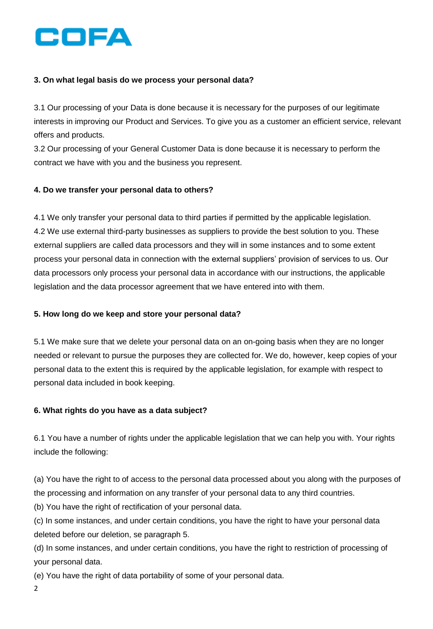

# **3. On what legal basis do we process your personal data?**

3.1 Our processing of your Data is done because it is necessary for the purposes of our legitimate interests in improving our Product and Services. To give you as a customer an efficient service, relevant offers and products.

3.2 Our processing of your General Customer Data is done because it is necessary to perform the contract we have with you and the business you represent.

#### **4. Do we transfer your personal data to others?**

4.1 We only transfer your personal data to third parties if permitted by the applicable legislation. 4.2 We use external third-party businesses as suppliers to provide the best solution to you. These external suppliers are called data processors and they will in some instances and to some extent process your personal data in connection with the external suppliers' provision of services to us. Our data processors only process your personal data in accordance with our instructions, the applicable legislation and the data processor agreement that we have entered into with them.

#### **5. How long do we keep and store your personal data?**

5.1 We make sure that we delete your personal data on an on-going basis when they are no longer needed or relevant to pursue the purposes they are collected for. We do, however, keep copies of your personal data to the extent this is required by the applicable legislation, for example with respect to personal data included in book keeping.

#### **6. What rights do you have as a data subject?**

6.1 You have a number of rights under the applicable legislation that we can help you with. Your rights include the following:

(a) You have the right to of access to the personal data processed about you along with the purposes of the processing and information on any transfer of your personal data to any third countries.

(b) You have the right of rectification of your personal data.

(c) In some instances, and under certain conditions, you have the right to have your personal data deleted before our deletion, se paragraph 5.

(d) In some instances, and under certain conditions, you have the right to restriction of processing of your personal data.

(e) You have the right of data portability of some of your personal data.

2